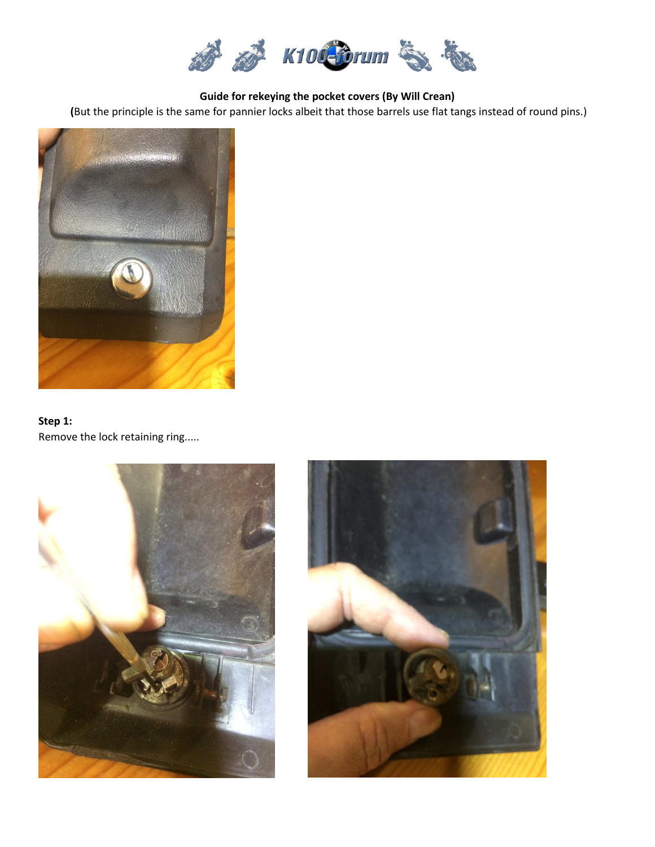

**Guide for rekeying the pocket covers (By Will Crean)**

**(**But the principle is the same for pannier locks albeit that those barrels use flat tangs instead of round pins.)



# **Step 1:** Remove the lock retaining ring.....



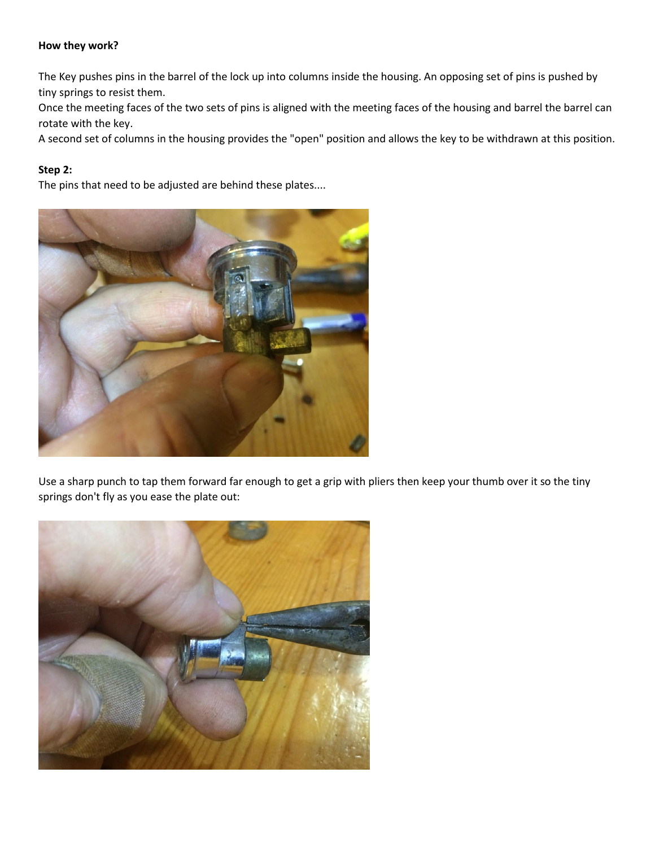#### **How they work?**

The Key pushes pins in the barrel of the lock up into columns inside the housing. An opposing set of pins is pushed by tiny springs to resist them.

Once the meeting faces of the two sets of pins is aligned with the meeting faces of the housing and barrel the barrel can rotate with the key.

A second set of columns in the housing provides the "open" position and allows the key to be withdrawn at this position.

## **Step 2:**

The pins that need to be adjusted are behind these plates....



Use a sharp punch to tap them forward far enough to get a grip with pliers then keep your thumb over it so the tiny springs don't fly as you ease the plate out:

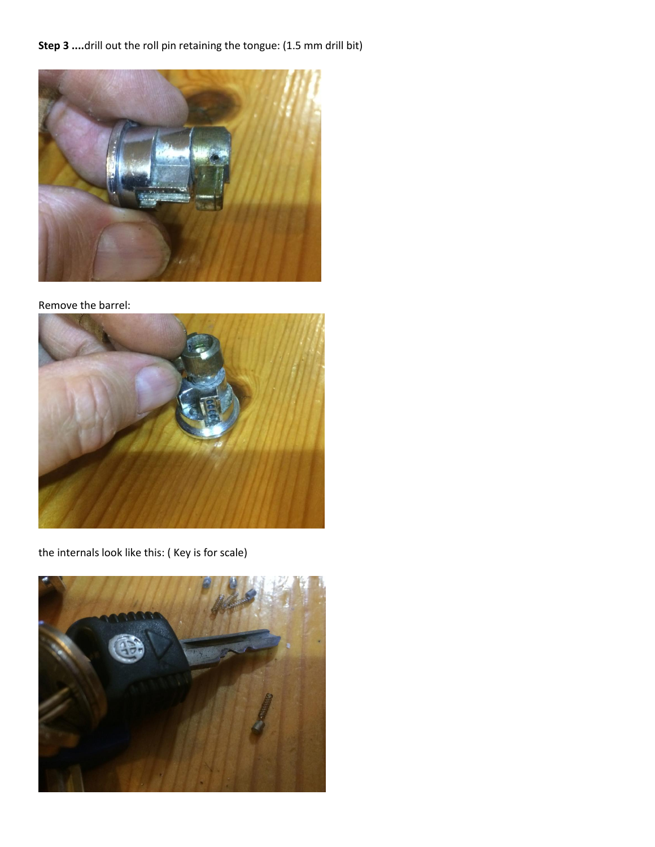# Step 3 ....drill out the roll pin retaining the tongue: (1.5 mm drill bit)



### Remove the barrel:



the internals look like this: ( Key is for scale)

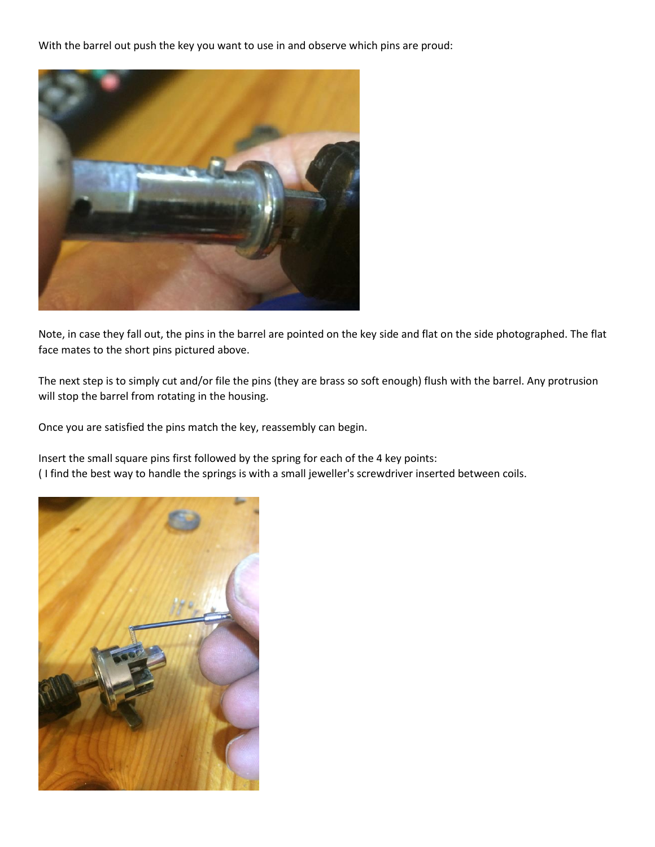With the barrel out push the key you want to use in and observe which pins are proud:



Note, in case they fall out, the pins in the barrel are pointed on the key side and flat on the side photographed. The flat face mates to the short pins pictured above.

The next step is to simply cut and/or file the pins (they are brass so soft enough) flush with the barrel. Any protrusion will stop the barrel from rotating in the housing.

Once you are satisfied the pins match the key, reassembly can begin.

Insert the small square pins first followed by the spring for each of the 4 key points: ( I find the best way to handle the springs is with a small jeweller's screwdriver inserted between coils.